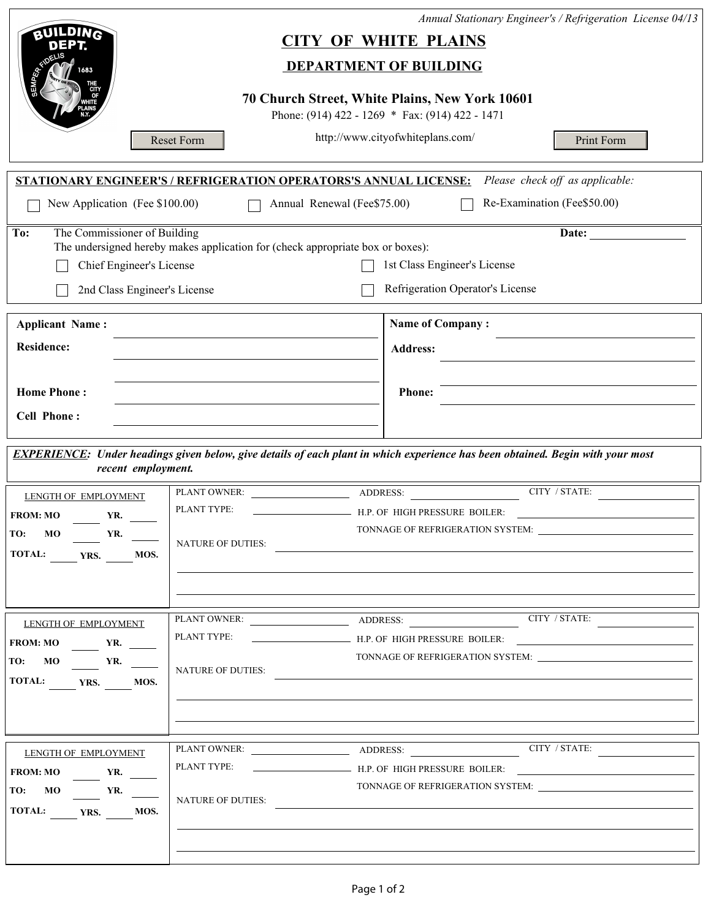|                                                                                   | Annual Stationary Engineer's / Refrigeration License 04/13                     |                                                                                                                                        |                                  |  |  |  |
|-----------------------------------------------------------------------------------|--------------------------------------------------------------------------------|----------------------------------------------------------------------------------------------------------------------------------------|----------------------------------|--|--|--|
| <b>auluina</b>                                                                    | <b>CITY OF WHITE PLAINS</b>                                                    |                                                                                                                                        |                                  |  |  |  |
|                                                                                   | <b>DEPARTMENT OF BUILDING</b>                                                  |                                                                                                                                        |                                  |  |  |  |
|                                                                                   |                                                                                |                                                                                                                                        |                                  |  |  |  |
|                                                                                   | <b>70 Church Street, White Plains, New York 10601</b>                          |                                                                                                                                        |                                  |  |  |  |
|                                                                                   |                                                                                | Phone: (914) 422 - 1269 * Fax: (914) 422 - 1471                                                                                        |                                  |  |  |  |
|                                                                                   | <b>Reset Form</b>                                                              | http://www.cityofwhiteplans.com/<br>Print Form                                                                                         |                                  |  |  |  |
|                                                                                   |                                                                                |                                                                                                                                        |                                  |  |  |  |
|                                                                                   |                                                                                | <b>STATIONARY ENGINEER'S / REFRIGERATION OPERATORS'S ANNUAL LICENSE:</b> Please check off as applicable:                               |                                  |  |  |  |
| New Application (Fee \$100.00)                                                    |                                                                                | Annual Renewal (Fee\$75.00)                                                                                                            | Re-Examination (Fee\$50.00)      |  |  |  |
| The Commissioner of Building<br>To:                                               |                                                                                |                                                                                                                                        | Date:                            |  |  |  |
| Chief Engineer's License                                                          | The undersigned hereby makes application for (check appropriate box or boxes): | 1st Class Engineer's License                                                                                                           |                                  |  |  |  |
|                                                                                   |                                                                                |                                                                                                                                        |                                  |  |  |  |
| 2nd Class Engineer's License                                                      |                                                                                | Refrigeration Operator's License                                                                                                       |                                  |  |  |  |
| <b>Applicant Name:</b>                                                            |                                                                                | <b>Name of Company:</b>                                                                                                                |                                  |  |  |  |
| <b>Residence:</b>                                                                 |                                                                                |                                                                                                                                        |                                  |  |  |  |
|                                                                                   | <b>Address:</b>                                                                |                                                                                                                                        |                                  |  |  |  |
|                                                                                   |                                                                                |                                                                                                                                        |                                  |  |  |  |
| <b>Home Phone:</b>                                                                |                                                                                | <b>Phone:</b>                                                                                                                          |                                  |  |  |  |
| <b>Cell Phone:</b>                                                                |                                                                                |                                                                                                                                        |                                  |  |  |  |
|                                                                                   |                                                                                |                                                                                                                                        |                                  |  |  |  |
| recent employment.                                                                |                                                                                | <b>EXPERIENCE</b> : Under headings given below, give details of each plant in which experience has been obtained. Begin with your most |                                  |  |  |  |
| LENGTH OF EMPLOYMENT                                                              |                                                                                |                                                                                                                                        | CITY / STATE:                    |  |  |  |
| <b>FROM: MO</b><br>YR.                                                            | PLANT TYPE:                                                                    | H.P. OF HIGH PRESSURE BOILER:                                                                                                          |                                  |  |  |  |
| TO: MO YR.                                                                        |                                                                                |                                                                                                                                        | TONNAGE OF REFRIGERATION SYSTEM: |  |  |  |
| TOTAL: YRS. MOS.                                                                  | NATURE OF DUTIES:                                                              |                                                                                                                                        |                                  |  |  |  |
|                                                                                   |                                                                                |                                                                                                                                        |                                  |  |  |  |
|                                                                                   |                                                                                |                                                                                                                                        |                                  |  |  |  |
|                                                                                   |                                                                                |                                                                                                                                        |                                  |  |  |  |
|                                                                                   |                                                                                |                                                                                                                                        |                                  |  |  |  |
|                                                                                   |                                                                                |                                                                                                                                        |                                  |  |  |  |
| FROM: MO YR.                                                                      |                                                                                | PLANT TYPE: H.P. OF HIGH PRESSURE BOILER:                                                                                              |                                  |  |  |  |
|                                                                                   | NATURE OF DUTIES:                                                              |                                                                                                                                        |                                  |  |  |  |
| TOTAL: YRS. MOS.                                                                  |                                                                                |                                                                                                                                        |                                  |  |  |  |
|                                                                                   |                                                                                |                                                                                                                                        |                                  |  |  |  |
|                                                                                   |                                                                                |                                                                                                                                        |                                  |  |  |  |
| <b>LENGTH OF EMPLOYMENT</b><br>TO: MO $\frac{\ }{\ }$ YR.<br>LENGTH OF EMPLOYMENT |                                                                                |                                                                                                                                        |                                  |  |  |  |
|                                                                                   |                                                                                | PLANT TYPE: H.P. OF HIGH PRESSURE BOILER:                                                                                              |                                  |  |  |  |
| TO: MO YR.                                                                        |                                                                                | TONNAGE OF REFRIGERATION SYSTEM: TONING AND THE REFRIGERATION SYSTEM:                                                                  |                                  |  |  |  |
| TOTAL: YRS. MOS.                                                                  | NATURE OF DUTIES:                                                              |                                                                                                                                        |                                  |  |  |  |
|                                                                                   |                                                                                |                                                                                                                                        |                                  |  |  |  |
|                                                                                   |                                                                                |                                                                                                                                        |                                  |  |  |  |